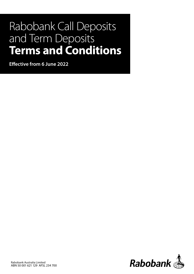# Rabobank Call Deposits and Term Deposits **Terms and Conditions**

**Effective from 6 June 2022**

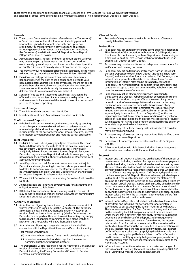# **Records**

- **1.1** The Account Owner(s) (hereinafter referred to as the 'Depositor(s)' or 'you') must ensure that all information, including personal information, given to Rabobank is accurate and up-to-date at all times. You must promptly notify Rabobank of a change, including personal information, to any information held about the Depositor(s) in relation to any Call Deposit or Term Deposit ("Deposit") as soon as possible.
- **1.2** Account statements, notices, and other communications with you may be sent to you by letter to your nominated postal address, electronically by email to your nominated email address, by notice on our Website or electronically via electronic secure messages.
- **1.3** You may vary your nominated postal or email address by giving notice to Rabobank by contacting the Client Services Unit on 1800 632 113.
- **1.4** Even if we normally provide electronic notices or statements, Rabobank reserves the right to send paper ones instead to your nominated postal address (e.g. if, for any reason, we are not able to provide them electronically or we cancel your election to receive statements or notices electronically because we are unable to deliver emails to your nominated email address).
- **1.5** Service of notices and statements sent by post is taken to be effected, upon the earliest of actual receipt, the day when the addressee would have received the item in the ordinary course of post, or 10 days after posting.

# **Investment Range**

- **2.1** The minimum initial deposit must be \$5,000.
- **2.2** Investments must be in Australian currency but not in cash.

#### **Confirmation of Deposits**

**3.1** Rabobank will confirm in writing, either electronically by sending an email to your nominated email address or by letter to your nominated postal address, its acceptance of an application and will include details of the date of acceptance, amount invested, interest rate, interest payment frequency and maturity date as applicable.

#### **Joint Depositors**

- **4.1** Each joint Deposit is held jointly by all joint Depositors. This means that each Depositor has the right to all of the balance, jointly with the other joint Depositors, and each Depositor is individually and jointly liable to Rabobank in relation to a Deposit. Each joint Depositor may operate a Deposit individually, however you may ask us to change the account authority so that all joint Depositors must approve future withdrawals.
- **4.2** Joint Depositors must tell Rabobank how operations on the joint Deposit are allowed, including instructions about persons allowed to deal with Rabobank in respect of the Deposit, and how funds may be withdrawn from the joint Deposit. Depositors can change these instructions by giving Rabobank notice in writing.
- **4.3** Where a joint Depositor dies, the surviving Depositor(s) will own the Deposit.
- **4.4** Joint Depositors are jointly and severally liable for all amounts and obligations owing to Rabobank.
- **4.5** If Rabobank is aware of any dispute relating to a joint Deposit, it may decide to permit operations on the joint Account only if all joint Depositors authorise such operations.

# **Authority to Operate**

- **5.1** An Authorised Signatory is nominated by, and ceases on receipt of, written instructions signed by (all) the Depositor(s). This authority also ceases on death of the Authorised Signatory. However, on receipt of written instructions signed by (all) the Depositor(s), the Depositor or a properly authorised broker/intermediary may supply to Rabobank a list of persons from time to time, along with their specimen signatures, who will be Authorised Signatories.
- **5.2** An Authorised Signatory may give instructions individually in connection with the Deposit as if they were a Depositor, including: (a) making withdrawals;
	- (b) in relation to how matured funds should be dealt with; and
	- (c) in relation to reinvested funds (except that they may not
	- nominate another Authorised Signatory).
- **5.3** The Depositor(s) will be responsible for the Authorised Signatory(ies) receipt of and compliance with the terms and conditions of the Deposit, including the Privacy Consent and Consent to Receive Electronic Communications.

#### **Cleared Funds**

**6.1** Proceeds of cheques are not available until cleared. Clearance usually takes five Business Days.

#### **Instructions**

- **7.1** Rabobank may act on telephone instructions but only in relation to TFN/ Exemption/ABN quotation, withdrawals of Call Deposits to a Nominated Account, maturity of Term Deposits and the opening of a new Call Deposit or Term Deposit with new funds or funds in an existing Call Deposit or Term Deposit.
- **7.2** Rabobank may monitor and/or record telephone conversations for verification and training purposes.
- **7.3** Rabobank may act on telephone instructions from an individual, personal Depositor to open a new Deposit (including a new Term Deposit) with new funds or funds in an existing Call Deposit, at the interest rate applicable at the date of the relevant new Deposit. Information on interest rates can be obtained by contacting Rabobank. The new Deposit will be subject to the same terms and conditions except to the extent determined by Rabobank, and will have the same manner of operation.
- **7.4** Rabobank may act on electronic instructions in relation to transactions on a Deposit. Rabobank will not be responsible to the Depositors for any loss that you suffer as the result of any delay or loss in transit of any message, letter or document, or the delay, mutilation, omission or other error in the transmission of any facsimile, email, telex or other transmitted message or any error in translation or interpretation of technical terms or arising from any ambiguity in instructions from the Depositor(s), Authorised Signatory(ies) or an Intermediary or in connection with any reliance placed by Rabobank in good faith on such messages or as a result of such message not having been properly authorised by the person by whom it is purported to have been sent.
- **7.5** Rabobank may refuse to act on any instructions which it considers may be invalid or unlawful.
- **7.6** Rabobank may refuse to act on any instructions if it is notified there is a dispute between Depositors.
- **7.7** Rabobank will not accept direct debit instructions to debit your Deposit.
- **7.8** All communications with Rabobank, including instructions, must at all times be in accordance with Rabobank's directions.

#### **Interest**

- **8.1** Interest on a Call Deposit is calculated on the basis of the number of days from and including the date of acceptance or interest payment up to but excluding the date of withdrawal or next interest payment. The interest rates for Call Deposits are variable and are based on the prevailing bank bill swap rates. Interest rates are tiered which means that a different rate may apply to your Call Deposit, depending on the balance of your Call Deposit. The interest rate applicable to your Call Deposit is the variable rate and is set out in the statement of account. The daily variable rate is the annual variable rate divided by 365. Interest on Call Deposits is paid on the first day of each calendar month in arrears and credited to the same Deposit or Nominated Account as may be agreed with Rabobank. Interest is calculated by applying the daily variable rate to the daily closing principal balance. Interest calculated from the last interest payment date before final withdrawal will be paid on final withdrawal.
- **8.2** Interest on Term Deposits is calculated on the basis of the number of days from and including the date of acceptance or interest payment up to but excluding the date of maturity or withdrawal. The interest rates offered for Term Deposits can vary and are based on the prevailing bank bill swap rates. Interest rates are tiered, which means that a different rate may apply to your Term Deposit depending on the balance of the deposit and the frequency of interest payments selected, however for each term, the interest rate remains fixed for that term to maturity. The interest rate that applies to a Term Deposit is the rate specified in a confirmation and the daily interest rate is the rate specified divided by 365. Interest on Term Deposits is calculated by applying the daily variable rate to the daily closing principal balance. Interest on Term Deposit is paid in arrears monthly, quarterly, half-yearly or yearly as chosen by the Depositor(s) from the date of acceptance and is credited to the Nominated Account.
- **8.3** Information on current interest rates, or past rates and ranges of rates, is available from any Rabobank branch or by calling 1800 632 113 or visiting our website www.rabobank.com.au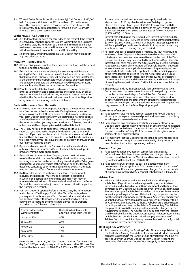**8.4** Worked Dollar Example (for illustration only): Call Deposit of \$10,000 held for 1 year with interest at 5% p.a. will earn \$511.62 interest. Note: This example assumes a constant interest rate, however the rate may vary daily. Term Deposit of \$10,000 held for 1 year with interest at 5% p.a. will earn \$500 interest.

#### **Withdrawals – Call Deposits**

- **9.1** A withdrawal will be dated the same day as the request if the request is received by Rabobank prior to 3.00pm Sydney time on a Business Day. In this case, the funds will be transferred from Rabobank prior to the next business day to the Nominated Account. Otherwise, the withdrawal may not occur until the next Business Day.
- **9.2** No more than 20 withdrawals from a Call Deposit may be made in any one calendar month.

#### **Maturity – Term Deposits**

- **10.1** After receiving an instruction for repayment, the funds will be repaid to the Nominated Account.
- **10.2** If no such instructions are received prior to maturity and there is an existing Call Deposit in the same name(s), the funds will be deposited in that Call Deposit. Otherwise, they will be invested in a new Call Deposit, at the then current rate applicable to Call Deposits, on the same terms and conditions except to the extent determined by Rabobank acting reasonably and will have the same manner of operation.
- **10.3** Prior to maturity, Rabobank will send a written notice, either by letter to your nominated postal address or electronically by email to your nominated email address or, requesting instructions as to whether the Depositor(s) seeks reinvestment in another Deposit or repayment of the maturing funds (and interest).

# **Early Withdrawal – Term Deposits**

- **11.1** When you invest in a Term Deposit, you agree to invest a fixed amount for a fixed term at a fixed interest rate. During its term, you must provide us with at least 31 days' notice to withdraw any funds from your Term Deposit prior to maturity unless financial hardship applies as defined by Rabobank. If you have less than 31 days remaining of the term, the earliest you may access the funds is following maturity unless financial hardship applies as defined by Rabobank.
- **11.2** The 31 day notice period applies to Term Deposits unless you can show that you need access to your funds earlier due to financial hardship. If you need earlier access to funds prior to maturity due to financial hardship, you need to provide us with details to enable us to assess whether your case qualifies for an earlier withdrawal under our financial hardship policy.
- **11.3** If you may have a need in the future to immediately withdraw or transfer funds in your Term Deposit, other Rabobank deposit products may be more appropriate.
- **11.4** If you reinvest in another Term Deposit, you may withdraw or transfer the funds in the new Term Deposit without incurring a fee or incurring a reduction in the return at any time during the 7 day grace period after your maturity date of the product or on the following day. If you consent to your Term Deposit rolling over at maturity, it may roll over into a Term Deposit with a lower interest rate.
- **11.5** If a Depositor wishes to withdraw their Term Deposit prior to maturity, the Depositor must make a request to Rabobank in writing or electronically by sending an email from his/her nominated email address. The early withdrawal value of the Term Deposit, less any interest adjustment or break cost, will be paid to the Nominated Account.
- **11.6** For Term Deposits opened before 1 August 2019, the termination fee in clause 11.7 will apply. For all other Term Deposits, where you request to withdraw your Term Deposit prior to maturity, we will apply an early withdrawal fee, the amount of which will be equivalent to reducing the interest rate on your Term Deposit according to the following calculation:

| % of Term Elapsed at<br><b>Withdrawal Date</b> | Reduction to interest rate<br>applying to the Term Deposit |
|------------------------------------------------|------------------------------------------------------------|
| Less than 20%                                  | 80%                                                        |
| 20%<40%                                        | 60%                                                        |
| 40%<60%                                        | 40%                                                        |
| 60%<80%                                        | 20%                                                        |
| 80%-100%                                       | 1በ%                                                        |

Example: You have a \$20,000 Term Deposit invested for 1 year (365 days) at 2.50%p.a. and you request to withdraw it after 210 days. The interest that has accrued is: \$20,000 x 2.50%p.a. x 210 / 365 = \$287.67. To determine the reduced interest rate to apply we divide the elapsed term of 210 days by the full term of 365 days to get an elapsed term percentage figure of 57.53%. In accordance with the above table, as the term elapsed is between 40-60%, we will apply a 40% reduction to the 2.50%p.a. calculated as follows: 2.50%p.a. –  $(2.50\% \times 40\%) = 1.50\% \text{p.a.}$ 

Interest calculated using the new reduced interest rate is: \$20,000 x 210 days x 1.50% / 365 = \$172.60. The interest adjustment is therefore:  $$287.67 - $172.60 = $115.07$ . No early withdrawal interest adjustment will be applied if you withdraw funds within 7 days after reinvesting your term deposit (i.e. during the grace period).

- **11.7** For Term Deposits opened before 1 August 2019 (but not including where such Term Deposit has been reinvested or rolled over after this date), a break cost (as determined by us) on the part of the Term Deposit terminated may be deducted from the Term Deposit and/or interest. Break costs represent the future cashflow losses incurred by Rabobank as a result of interest rate differentials that exist between wholesale market rates applicable to the existing term deposit and current wholesale market rates applicable for the remaining period of the term deposit, adjusted to reflect a net present value. Break costs increase in line with increases in the following: interest rates, the amount withdrawn and the market margin, and Rabobank's costs of meeting the early withdrawal. Further information is available on request.
- **11.8** The principal and any interest payable (less any early withdrawal fee or break cost) upon early termination will be repaid by transfer to the Account from which you funded the Term Deposit. If we have already paid you periodic interest on your Term Deposit to another Account, and the total amount of that interest represents an overpayment to you once any reduced interest rate is applied, we may recover this from the Term Deposit principal.

# **Statements of Account**

- **12.1** Rabobank will give monthly account statements for Call Deposits either by letter to your nominated postal address or electronically by email to your nominated email address.
- **12.2** Rabobank will give confirmations of interest payments for Term Deposits either electronically by sending an email to your nominated email address or by letter to your nominated postal address. For Term Deposits issued from 1 July 2019, Rabobank will also give account statements on a quarterly basis.
- **12.3** It is important that the Depositor(s) check the documents described in this clause and notify Rabobank immediately of any errors or unauthorised transactions appearing on them.

#### **Fees and Charges**

- **13.1** Rabobank does not levy account service fees on Deposits. Information on Rabobank's standard fees and charges relating to a Deposit is available from our Website and is also available on request by contacting Rabobank on 1800 632 113.
- **13.2** Rabobank reserves the right to pass on, deduct or debit any government charges applicable from time to time. As at the date of this document there are no government charges. For further details of current government charges, contact Rabobank on 1800 632 113.

# **Adviser Fee**

**14.1** Where an Adviser/Intermediary is involved in introducing you to a Rabobank Deposit, and you have agreed to pay your Adviser/ Intermediary a fee based on your Deposit amount and balance (and any subsequent Deposits such as rolled over Term Deposits) (Adviser Fee) and you agree for Rabobank to collect this Adviser Fee from the interest applied to your Deposit, Rabobank may, on your instruction, pay the amount you specify directly to your Adviser/Intermediary on your behalf. If you have nominated your Adviser/Intermediary to be an Authorised Signatory, you authorise Rabobank to disclose details regarding the investment, to the Adviser/ Intermediary. The Adviser Fee payable (if any) is the rate agreed by you to be charged by the Adviser/ Intermediary. The Adviser fee is deducted from the interest paid by Rabobank on the Deposit. Contact your Adviser/Intermediary or Rabobank for details. Rabobank will not pay any amount of Adviser Fee if it is prohibited by any relevant law to do so or if you tell us in writing to cease such payments.

#### **Banking Code of Practice**

**15.1** Rabobank is bound by the Banking Code of Practice as published by the Australian Banking Association. If you are an individual or a small business (as defined in the Banking Code of Practice) at the time we provide you with your Call Deposit or Term Deposit Account, the provisions of the Banking Code of Practice apply to that Account.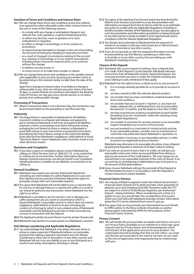# **Variation of Terms and Conditions and Interest Rates**

- **16.1** We can change these terms and conditions at any time without your agreement where allowable under unfair contract terms for any one or more of the following reasons:
	- to comply with any change or anticipated change in any
	- relevant law, code, guidance, or general banking practice; • to reflect any decision, views or guidance of a court,
	- ombudsman or regulator; • to reflect a change in technology, or of our systems or
	- procedures;
	- to respond proportionately to changes in the cost of providing the Account (including by changing or imposing new fees);
	- as a result of changed circumstances relating to the account (e.g. changes in technology, or to our systems procedures), including where it becomes impractical for us to continue without the change;
	- to address security issues; or
	- to correct errors or to make them simpler or clearer.
- **16.2** We can change these terms and conditions or the variable interest rates applicable to your account, by giving you written notice or by advertising in the national media, no later than the date of the change.

Apart from changes to interest rates, if we believe a change is unfavourable to you, then we will give you prior notice of at least 30 days. In certain limited circumstances described in the Banking Code of Practice, we may give you a shorter period, or no notice period, of an unfavourable change).

#### **Processing of Transactions**

**17.1** Where a transaction date is not a Business Day, the transaction may be processed either on the preceding or next Business Day.

#### **Indemnity**

**18.1** The Depositor(s) is responsible to Rabobank for all liabilities incurred in relation to a Deposit and releases and agree(s) to pay or reimburse Rabobank in full from and against all liabilities, expenses, actions, proceedings and claims howsoever arising, including but not limited to those in relation to Rabobank in good faith acting on your instructions or purported instructions provided by Electronic Means, except to the extent the liability arises directly from Rabobank's negligence, wilful default or fraud. "Electronic Means" means telephone, telex, facsimile, email or any other electronic means.

# **Questions and Complaints**

**19.1** If you have a query or complaint, please contact Rabobank by calling our Client Services Unit on 1800 632 113, or by contacting or visiting one of our branches. Further information about our dispute resolution processes can also be found in our Complaints Handling Brochure, available on our Website, our branches or by calling us.

# **General Conditions**

- **20.1** Rabobank may require you and any Authorised Signatories (including any intermediary) to satisfy Rabobank as to your and their identity and you and any Authorised Signatories agree to promptly comply with such reasonable requests.
- **20.2** You agree that Rabobank will not be liable to you or anyone else for any loss or damage that you or anyone else suffer as a result of our refusal to authorise any transaction, where Rabobank has the right to so refuse.
- **20.3** Rabobank is not liable to you for any loss, cost or damage you suffer arising from any act, event or circumstance which is beyond Rabobank's reasonable control, or which does not involve negligence, wilful default or fraud on its part including any conduct of a third party (which is not a related entity of Rabobank) reasonably used by Rabobank to provide or help to provide any services in connection with the Deposit.
- **20.4** The Applicant and the Account Owner must be at least 18 years old.
- **20.5** Rabobank may decline to accept anyone as a Rabobank customer.

#### **Anti-Money Laundering and Applicable Regulations**

**21.1** You acknowledge that Rabobank may delay, intercept, block or refuse to make a payment if Rabobank believes on reasonable grounds that making a payment may breach any Anti-Money Laundering or other laws in Australia or in any other country, and Rabobank will not incur any liability to you or any third party as a result of such delay, interception, blocking or refusal.

- **21.2** You agree, at the opening of an Account and at any time during the lifetime of an Account, to provide to us any documentation and information we request from time to time in order for us to undertake any action to comply with any Applicable Regulation, including on behalf of another member of the Rabobank Group. You also agree to such documentation and information provided to us being disclosed to any other person or body to enable it to be reported and used in compliance with the relevant Applicable Regulation.
- **21.3** You declare and undertake to Rabobank that the payment of monies in accordance with your instructions by us will not breach any laws in Australia or any other country.
- **21.4** If you do not provide us with the required information we may be prevented by any Anti-Money Laundering or other laws in Australia or in any other country, from providing you with Rabobank's banking services.

#### **Closure of the Deposit**

- **22.1** Rabobank will, at your request in writing, close a Deposit that is in credit. If the Deposit is a joint Deposit, Rabobank will need instructions from all Depositors before closing the Deposit. You must pay amounts you owe us under the Deposit including any costs relating to early withdrawal if they apply.
- **22.2** Rabobank has the right to close, or block access to, any account if:
	- (i) it is no longer lawfully possible for us to provide an account to you;
	- (ii) we have ceased to offer the relevant deposit product;
	- (iii) we consider that you have committed a material breach of the terms and conditions;
	- (iv) we consider that your account is 'inactive' i.e. you have not made a deposit into, or withdrawal from, the account within the previous 12 months, and the balance is less than \$1,000;
	- (v) we have assessed you as being a recalcitrant account holder (including if you are 'recalcitrant' within the meaning of any Applicable Regulations);
	- (vi) we consider it necessary for security reasons or we reasonably suspect fraudulent use or access to the account;
	- (vii) you are involved in or convicted of criminal activity and we, in our reasonable opinion, consider such an involvement or conviction may adversely impact Rabobank's reputation; or
	- (viii) we consider it necessary, in our reasonable opinion, in order to protect our legitimate business interests.

Rabobank may otherwise in its reasonable discretion, close a Deposit by giving the Depositor a minimum of 30 days' notice in writing.

- **22.3** If we close an account of yours that is in credit, we will give you reasonable notice and, unless we are prohibited from doing so, pay you the amount of the credit balance. We may charge you an amount that is our reasonable estimate of the costs of closure. If an account has an overdrawing or debit balance you must pay to us the amount of that debit balance.
- **22.4** Upon closure, Rabobank will pay the proceeds of the Deposit to the Nominated Account or in accordance with the Depositor's written instructions (where feasible).

#### **Financial Claims Scheme**

- **23.1** You may be entitled to payment under the Federal Government's Financial Claims Scheme (FCS) which provides a free guarantee of deposits up to and including \$250,000. Payments under the FCS are subject to a limit of \$250,000 per Depositor, per Authorised Deposit - taking Institution. When considering such a limit as it applies to you, you should take into consideration all accounts which you may hold with Rabobank Australia Limited. Information about the FCS can be obtained from www.fcs.gov.au.
- **23.2** You agree that we may provide your Nominated Account details to APRA and/or to the Reserve Bank of Australia or another paying agent nominated by APRA for the purposes of the Financial Claims Scheme.

#### **Privacy Consent**

**24.1** We will handle the personal data we obtain and hold as set out in our Privacy Policy (available on our website or in hard copy upon request) and the Privacy Notice and Acknowledgment which formed part of the application process for your product. You understand and acknowledge that that we will collect, use, hold and disclose personal data in the manner we have set out, both at the time of application and ongoing during our relationship with you.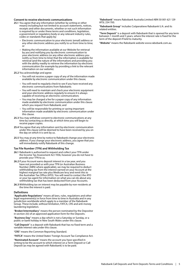#### **Consent to receive electronic communications**

- **25.1** You agree that any information (whether by writing or other means) including but not limited to account statements, notices, receipts and other documents, whether or not such information is required by or under these terms and conditions, legislation, a government or regulatory body or any relevant industry rules, codes or standards that apply by:
	- Electronic communication to your electronic (email) address or any other electronic address you notify to us from time to time; or
	- Making the information available at our Website for retrieval by you and notifying you by electronic communication to your electronic address (or any other electronic address you notify us from time to time) that the information is available for retrieval (and the nature of the information) and providing you with the ability readily to retrieve the information by electronic communication (for example by providing a link to the relevant information on our website).

**25.2** You acknowledge and agree:

- You will not receive a paper copy of any of the information made available by electronic communication under this clause;
- You will need to regularly check to see if you have received any electronic communications from Rabobank;
- You will need to maintain and check your electronic equipment and your electronic address regularly to ensure it is always capable of receiving an electronic communication;
- You may be charged a fee for a paper copy of any information made available by electronic communication under this clause which you request from Rabobank; and
- You will be responsible for printing or saving important information made available by electronic communication under this clause.
- **25.3** You may withdraw consent to electronic communications at any time by contacting us directly, at which time you will begin to receive paper copies.
- **25.4** You agree that any information sent by electronic communication under this clause will be deemed to have been received by you on the day on which it is sent by us.
- **25.5** You may at any time by notice to Rabobank change your electronic address. If you change your electronic address, you agree that you will immediately notify Rabobank of this change.

#### **Tax File Number (TFN) and Withholding Tax**

- **26.1** Rabobank is authorised to request and collect your TFN under the Income Tax Assessment Act 1936, however you do not have to provide your TFN to us.
- **26.2** If your Account earns deposit interest in a tax year, and you have not provided us with your TFN (or Australian Business Number (ABN) where applicable), we may be required to deduct withholding tax from the interest earned on your Account at the highest marginal tax rate plus Medicare levy and remit this to the Australian Tax Office (ATO). You will need to contact the ATO or your tax agent for information on what you can do about any withholding tax that has been deducted from your Accounts.
- **26.3** Withholding tax on interest may be payable by non-residents at the time the interest is paid.

#### **Definitions**

"**Applicable Regulations**" means all laws, rules, regulations and other legal requirement(s) in force from time to time in Australia and in any jurisdiction worldwide which apply to a member of the Rabobank Group. These include, without limitation, FATCA, CRS and anti money laundering legislation.

"**Broker/intermediary**" means the person nominated by the Depositor in section J(ii) of an approved application form for the Deposits.

"**Business Day**" means a day which is not a Saturday or Sunday, or a public or bank holiday in New South Wales under this clause.

"**Call Deposit**" is a deposit with Rabobank that has no fixed term and a variable interest rate.under this clause.

"**CRS**" means the Common Reporting Standard.

"**FATCA**" means the United States' Foreign Account Tax Compliance Act.

"**Nominated Account**" means the account you have specified in writing to be the account to which interest on a Term Deposit or Call Deposit (as may be agreed with Rabobank) is to be paid.

"**Rabobank**" means Rabobank Australia Limited ABN 50 001 621 129 AFSL 234 700.

"**Rabobank Group**" includes Coöperatieve Rabobank U.A. and its related entities.

"**Term Deposit**" is a deposit with Rabobank that is opened for any term between 1 month and 5 years, where the interest rate is fixed for the term of the deposit if held to maturity.

"**Website**" means the Rabobank website www.rabobank.com.au.